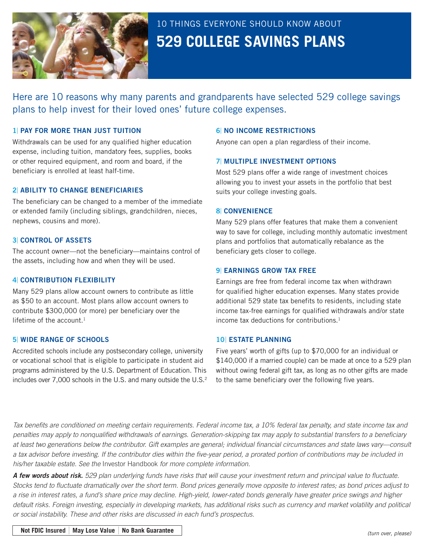

# 10 THINGS EVERYONE SHOULD KNOW ABOUT **529 COLLEGE SAVINGS PLANS**

Here are 10 reasons why many parents and grandparents have selected 529 college savings plans to help invest for their loved ones' future college expenses.

### 1| PAY FOR MORE THAN JUST TUITION

Withdrawals can be used for any qualified higher education expense, including tuition, mandatory fees, supplies, books or other required equipment, and room and board, if the beneficiary is enrolled at least half-time.

## 2| ABILITY TO CHANGE BENEFICIARIES

The beneficiary can be changed to a member of the immediate or extended family (including siblings, grandchildren, nieces, nephews, cousins and more).

#### 3| CONTROL OF ASSETS

The account owner—not the beneficiary—maintains control of the assets, including how and when they will be used.

#### 4| CONTRIBUTION FLEXIBILITY

Many 529 plans allow account owners to contribute as little as \$50 to an account. Most plans allow account owners to contribute \$300,000 (or more) per beneficiary over the lifetime of the account.1

#### 5| WIDE RANGE OF SCHOOLS

Accredited schools include any postsecondary college, university or vocational school that is eligible to participate in student aid programs administered by the U.S. Department of Education. This includes over 7,000 schools in the U.S. and many outside the U.S.<sup>2</sup>

### 6| NO INCOME RESTRICTIONS

Anyone can open a plan regardless of their income.

#### 7| MULTIPLE INVESTMENT OPTIONS

Most 529 plans offer a wide range of investment choices allowing you to invest your assets in the portfolio that best suits your college investing goals.

#### 8| CONVENIENCE

Many 529 plans offer features that make them a convenient way to save for college, including monthly automatic investment plans and portfolios that automatically rebalance as the beneficiary gets closer to college.

#### **9| EARNINGS GROW TAX FREE**

Earnings are free from federal income tax when withdrawn for qualified higher education expenses. Many states provide additional 529 state tax benefits to residents, including state income tax-free earnings for qualified withdrawals and/or state income tax deductions for contributions.1

#### 10| ESTATE PLANNING

Five years' worth of gifts (up to \$70,000 for an individual or \$140,000 if a married couple) can be made at once to a 529 plan without owing federal gift tax, as long as no other gifts are made to the same beneficiary over the following five years.

*Tax benefits are conditioned on meeting certain requirements. Federal income tax, a 10% federal tax penalty, and state income tax and penalties may apply to nonqualified withdrawals of earnings. Generation-skipping tax may apply to substantial transfers to a beneficiary at least two generations below the contributor. Gift examples are general; individual financial circumstances and state laws vary—consult a tax advisor before investing. If the contributor dies within the five-year period, a prorated portion of contributions may be included in his/her taxable estate. See the* Investor Handbook *for more complete information.*

*A few words about risk. 529 plan underlying funds have risks that will cause your investment return and principal value to fluctuate. Stocks tend to fluctuate dramatically over the short term. Bond prices generally move opposite to interest rates; as bond prices adjust to a rise in interest rates, a fund's share price may decline. High-yield, lower-rated bonds generally have greater price swings and higher default risks. Foreign investing, especially in developing markets, has additional risks such as currency and market volatility and political or social instability. These and other risks are discussed in each fund's prospectus.*

**Not FDIC Insured** <sup>|</sup> **May Lose Value** <sup>|</sup> **No Bank Guarantee**